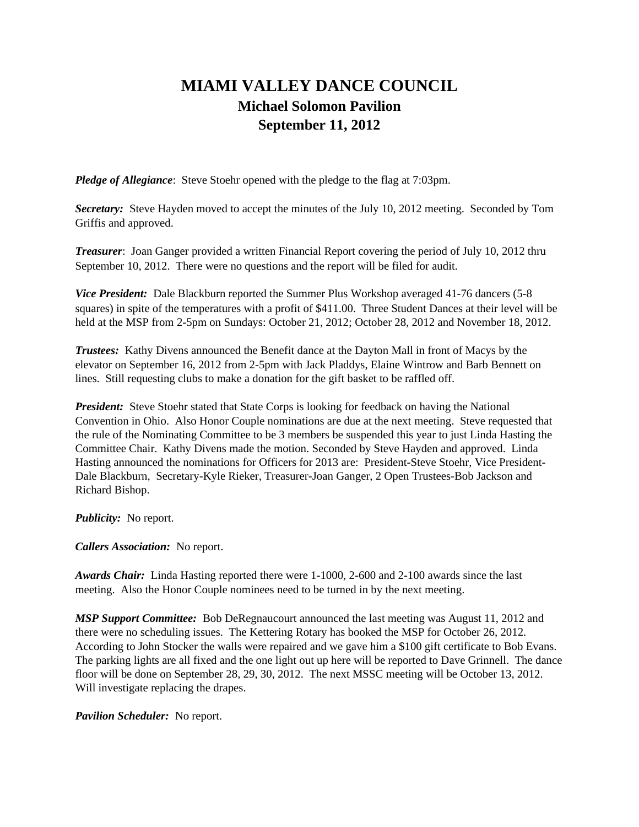## **MIAMI VALLEY DANCE COUNCIL Michael Solomon Pavilion September 11, 2012**

*Pledge of Allegiance*: Steve Stoehr opened with the pledge to the flag at 7:03pm.

*Secretary:* Steve Hayden moved to accept the minutes of the July 10, 2012 meeting. Seconded by Tom Griffis and approved.

*Treasurer*: Joan Ganger provided a written Financial Report covering the period of July 10, 2012 thru September 10, 2012. There were no questions and the report will be filed for audit.

*Vice President:* Dale Blackburn reported the Summer Plus Workshop averaged 41-76 dancers (5-8) squares) in spite of the temperatures with a profit of \$411.00. Three Student Dances at their level will be held at the MSP from 2-5pm on Sundays: October 21, 2012; October 28, 2012 and November 18, 2012.

*Trustees:* Kathy Divens announced the Benefit dance at the Dayton Mall in front of Macys by the elevator on September 16, 2012 from 2-5pm with Jack Pladdys, Elaine Wintrow and Barb Bennett on lines. Still requesting clubs to make a donation for the gift basket to be raffled off.

**President:** Steve Stoehr stated that State Corps is looking for feedback on having the National Convention in Ohio. Also Honor Couple nominations are due at the next meeting. Steve requested that the rule of the Nominating Committee to be 3 members be suspended this year to just Linda Hasting the Committee Chair. Kathy Divens made the motion. Seconded by Steve Hayden and approved. Linda Hasting announced the nominations for Officers for 2013 are: President-Steve Stoehr, Vice President-Dale Blackburn, Secretary-Kyle Rieker, Treasurer-Joan Ganger, 2 Open Trustees-Bob Jackson and Richard Bishop.

*Publicity:* No report.

*Callers Association:* No report.

*Awards Chair:* Linda Hasting reported there were 1-1000, 2-600 and 2-100 awards since the last meeting. Also the Honor Couple nominees need to be turned in by the next meeting.

*MSP Support Committee:* Bob DeRegnaucourt announced the last meeting was August 11, 2012 and there were no scheduling issues. The Kettering Rotary has booked the MSP for October 26, 2012. According to John Stocker the walls were repaired and we gave him a \$100 gift certificate to Bob Evans. The parking lights are all fixed and the one light out up here will be reported to Dave Grinnell. The dance floor will be done on September 28, 29, 30, 2012. The next MSSC meeting will be October 13, 2012. Will investigate replacing the drapes.

*Pavilion Scheduler:* No report.